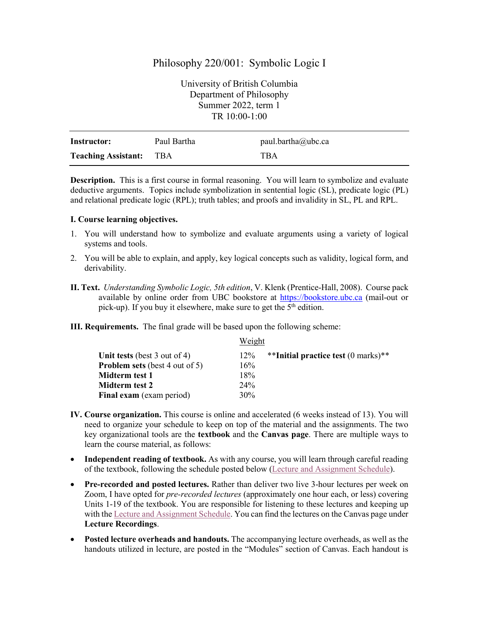# Philosophy 220/001: Symbolic Logic I

University of British Columbia Department of Philosophy Summer 2022, term 1 TR 10:00-1:00

| Instructor:                | Paul Bartha | paul.bartha@ubc.ca |
|----------------------------|-------------|--------------------|
| <b>Teaching Assistant:</b> | TBA         | TBA                |

**Description.** This is a first course in formal reasoning. You will learn to symbolize and evaluate deductive arguments. Topics include symbolization in sentential logic (SL), predicate logic (PL) and relational predicate logic (RPL); truth tables; and proofs and invalidity in SL, PL and RPL.

# **I. Course learning objectives.**

- 1. You will understand how to symbolize and evaluate arguments using a variety of logical systems and tools.
- 2. You will be able to explain, and apply, key logical concepts such as validity, logical form, and derivability.
- **II. Text.** *Understanding Symbolic Logic, 5th edition*, V. Klenk (Prentice-Hall, 2008). Course pack available by online order from UBC bookstore at [https://bookstore.ubc.ca](https://bookstore.ubc.ca/) (mail-out or pick-up). If you buy it elsewhere, make sure to get the  $5<sup>th</sup>$  edition.

**III. Requirements.** The final grade will be based upon the following scheme:

|                                       | Weight |                                     |  |
|---------------------------------------|--------|-------------------------------------|--|
| Unit tests (best 3 out of 4)          | 12%    | **Initial practice test (0 marks)** |  |
| <b>Problem sets</b> (best 4 out of 5) | 16%    |                                     |  |
| Midterm test 1                        | 18%    |                                     |  |
| Midterm test 2                        | 24%    |                                     |  |
| Final exam (exam period)              | 30%    |                                     |  |

- **IV. Course organization.** This course is online and accelerated (6 weeks instead of 13). You will need to organize your schedule to keep on top of the material and the assignments. The two key organizational tools are the **textbook** and the **Canvas page**. There are multiple ways to learn the course material, as follows:
- **Independent reading of textbook.** As with any course, you will learn through careful reading of the textbook, following the schedule posted below [\(Lecture and Assignment Schedule\)](#page-4-0).
- **Pre-recorded and posted lectures.** Rather than deliver two live 3-hour lectures per week on Zoom, I have opted for *pre-recorded lectures* (approximately one hour each, or less) covering Units 1-19 of the textbook. You are responsible for listening to these lectures and keeping up with th[e Lecture and Assignment Schedule.](#page-4-0) You can find the lectures on the Canvas page under **Lecture Recordings**.
- **Posted lecture overheads and handouts.** The accompanying lecture overheads, as well as the handouts utilized in lecture, are posted in the "Modules" section of Canvas. Each handout is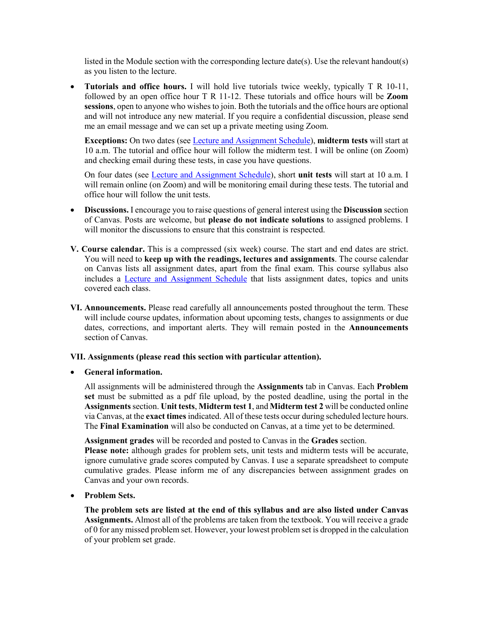listed in the Module section with the corresponding lecture date(s). Use the relevant handout(s) as you listen to the lecture.

• **Tutorials and office hours.** I will hold live tutorials twice weekly, typically T R 10-11, followed by an open office hour T R 11-12. These tutorials and office hours will be **Zoom sessions**, open to anyone who wishes to join. Both the tutorials and the office hours are optional and will not introduce any new material. If you require a confidential discussion, please send me an email message and we can set up a private meeting using Zoom.

**Exceptions:** On two dates (see [Lecture and Assignment Schedule\)](#page-4-0), **midterm tests** will start at 10 a.m. The tutorial and office hour will follow the midterm test. I will be online (on Zoom) and checking email during these tests, in case you have questions.

On four dates (see [Lecture and Assignment Schedule\)](#page-4-0), short **unit tests** will start at 10 a.m. I will remain online (on Zoom) and will be monitoring email during these tests. The tutorial and office hour will follow the unit tests.

- **Discussions.** I encourage you to raise questions of general interest using the **Discussion** section of Canvas. Posts are welcome, but **please do not indicate solutions** to assigned problems. I will monitor the discussions to ensure that this constraint is respected.
- **V. Course calendar.** This is a compressed (six week) course. The start and end dates are strict. You will need to **keep up with the readings, lectures and assignments**. The course calendar on Canvas lists all assignment dates, apart from the final exam. This course syllabus also includes a [Lecture and Assignment Schedule](#page-4-0) that lists assignment dates, topics and units covered each class.
- **VI. Announcements.** Please read carefully all announcements posted throughout the term. These will include course updates, information about upcoming tests, changes to assignments or due dates, corrections, and important alerts. They will remain posted in the **Announcements** section of Canvas.

# **VII. Assignments (please read this section with particular attention).**

### • **General information.**

All assignments will be administered through the **Assignments** tab in Canvas. Each **Problem set** must be submitted as a pdf file upload, by the posted deadline, using the portal in the **Assignments**section. **Unit tests**, **Midterm test 1**, and **Midterm test 2** will be conducted online via Canvas, at the **exact times** indicated. All of these tests occur during scheduled lecture hours. The **Final Examination** will also be conducted on Canvas, at a time yet to be determined.

**Assignment grades** will be recorded and posted to Canvas in the **Grades** section.

**Please note:** although grades for problem sets, unit tests and midterm tests will be accurate, ignore cumulative grade scores computed by Canvas. I use a separate spreadsheet to compute cumulative grades. Please inform me of any discrepancies between assignment grades on Canvas and your own records.

• **Problem Sets.** 

**The problem sets are listed at the end of this syllabus and are also listed under Canvas Assignments.** Almost all of the problems are taken from the textbook. You will receive a grade of 0 for any missed problem set. However, your lowest problem set is dropped in the calculation of your problem set grade.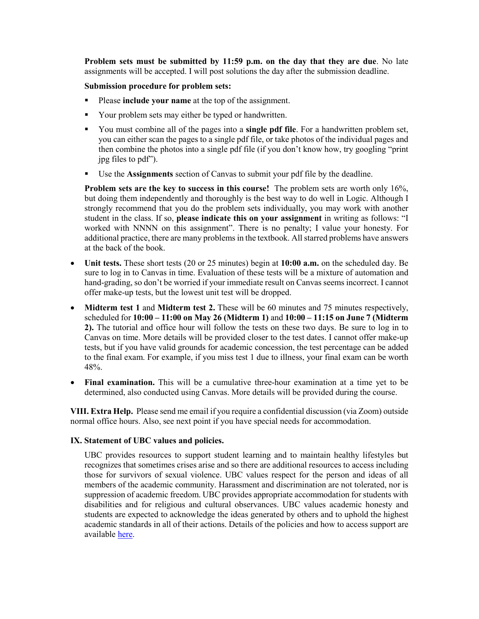**Problem sets must be submitted by 11:59 p.m. on the day that they are due**. No late assignments will be accepted. I will post solutions the day after the submission deadline.

## **Submission procedure for problem sets:**

- **Please include your name** at the top of the assignment.
- Your problem sets may either be typed or handwritten.
- You must combine all of the pages into a **single pdf file**. For a handwritten problem set, you can either scan the pages to a single pdf file, or take photos of the individual pages and then combine the photos into a single pdf file (if you don't know how, try googling "print jpg files to pdf").
- Use the **Assignments** section of Canvas to submit your pdf file by the deadline.

**Problem sets are the key to success in this course!** The problem sets are worth only 16%, but doing them independently and thoroughly is the best way to do well in Logic. Although I strongly recommend that you do the problem sets individually, you may work with another student in the class. If so, **please indicate this on your assignment** in writing as follows: "I worked with NNNN on this assignment". There is no penalty; I value your honesty. For additional practice, there are many problems in the textbook. All starred problems have answers at the back of the book.

- **Unit tests.** These short tests (20 or 25 minutes) begin at **10:00 a.m.** on the scheduled day. Be sure to log in to Canvas in time. Evaluation of these tests will be a mixture of automation and hand-grading, so don't be worried if your immediate result on Canvas seems incorrect. I cannot offer make-up tests, but the lowest unit test will be dropped.
- **Midterm test 1** and **Midterm test 2.** These will be 60 minutes and 75 minutes respectively, scheduled for **10:00 – 11:00 on May 26 (Midterm 1)** and **10:00 – 11:15 on June 7 (Midterm 2).** The tutorial and office hour will follow the tests on these two days. Be sure to log in to Canvas on time. More details will be provided closer to the test dates. I cannot offer make-up tests, but if you have valid grounds for academic concession, the test percentage can be added to the final exam. For example, if you miss test 1 due to illness, your final exam can be worth 48%.
- **Final examination.** This will be a cumulative three-hour examination at a time yet to be determined, also conducted using Canvas. More details will be provided during the course.

**VIII. Extra Help.** Please send me email if you require a confidential discussion (via Zoom) outside normal office hours. Also, see next point if you have special needs for accommodation.

#### **IX. Statement of UBC values and policies.**

UBC provides resources to support student learning and to maintain healthy lifestyles but recognizes that sometimes crises arise and so there are additional resources to access including those for survivors of sexual violence. UBC values respect for the person and ideas of all members of the academic community. Harassment and discrimination are not tolerated, nor is suppression of academic freedom. UBC provides appropriate accommodation for students with disabilities and for religious and cultural observances. UBC values academic honesty and students are expected to acknowledge the ideas generated by others and to uphold the highest academic standards in all of their actions. Details of the policies and how to access support are available [here.](https://senate.ubc.ca/policies-resources-support-student-success)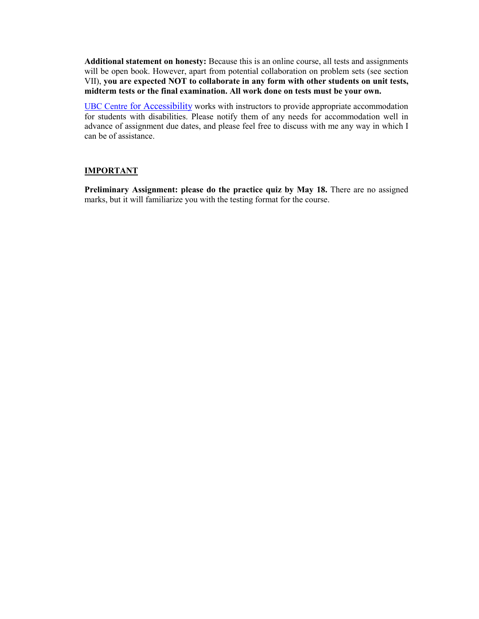**Additional statement on honesty:** Because this is an online course, all tests and assignments will be open book. However, apart from potential collaboration on problem sets (see section VII), **you are expected NOT to collaborate in any form with other students on unit tests, midterm tests or the final examination. All work done on tests must be your own.**

UBC Centre [for Accessibility](https://students.ubc.ca/about-student-services/centre-for-accessibility) works with instructors to provide appropriate accommodation for students with disabilities. Please notify them of any needs for accommodation well in advance of assignment due dates, and please feel free to discuss with me any way in which I can be of assistance.

## **IMPORTANT**

**Preliminary Assignment: please do the practice quiz by May 18.** There are no assigned marks, but it will familiarize you with the testing format for the course.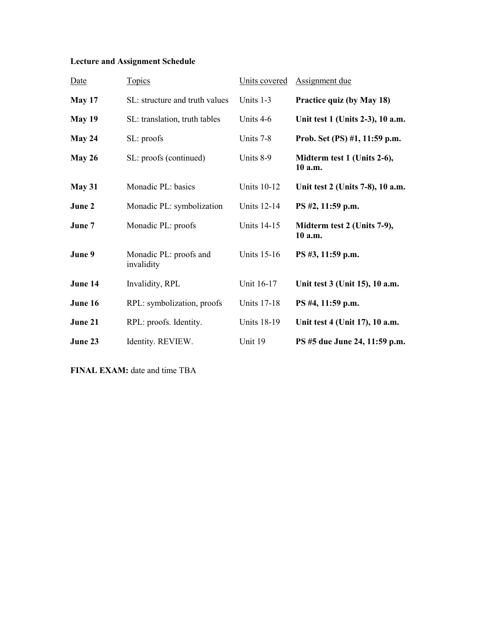# <span id="page-4-0"></span>**Lecture and Assignment Schedule**

| Date          | <b>Topics</b>                        | Units covered      | <b>Assignment</b> due                  |
|---------------|--------------------------------------|--------------------|----------------------------------------|
| <b>May 17</b> | SL: structure and truth values       | Units 1-3          | Practice quiz (by May 18)              |
| May 19        | SL: translation, truth tables        | Units 4-6          | Unit test 1 (Units 2-3), 10 a.m.       |
| May 24        | SL: proofs                           | Units 7-8          | Prob. Set (PS) #1, 11:59 p.m.          |
| May 26        | SL: proofs (continued)               | Units 8-9          | Midterm test 1 (Units 2-6),<br>10 a.m. |
| May 31        | Monadic PL: basics                   | <b>Units 10-12</b> | Unit test 2 (Units 7-8), 10 a.m.       |
| June 2        | Monadic PL: symbolization            | <b>Units 12-14</b> | PS #2, 11:59 p.m.                      |
| June 7        | Monadic PL: proofs                   | <b>Units 14-15</b> | Midterm test 2 (Units 7-9),<br>10 a.m. |
| June 9        | Monadic PL: proofs and<br>invalidity | <b>Units 15-16</b> | PS #3, 11:59 p.m.                      |
| June 14       | Invalidity, RPL                      | Unit 16-17         | Unit test 3 (Unit 15), 10 a.m.         |
| June 16       | RPL: symbolization, proofs           | <b>Units 17-18</b> | PS #4, 11:59 p.m.                      |
| June 21       | RPL: proofs. Identity.               | <b>Units 18-19</b> | Unit test 4 (Unit 17), 10 a.m.         |
| June 23       | Identity. REVIEW.                    | Unit 19            | PS #5 due June 24, 11:59 p.m.          |

**FINAL EXAM:** date and time TBA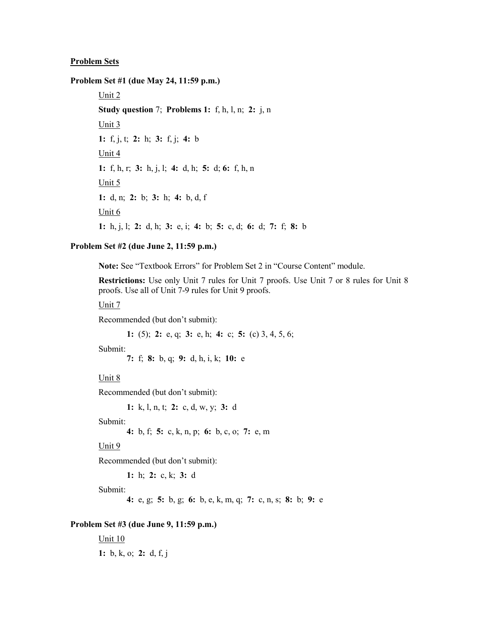### **Problem Sets**

**Problem Set #1 (due May 24, 11:59 p.m.)**

Unit 2 **Study question** 7; **Problems 1:** f, h, l, n; **2:** j, n Unit 3 **1:** f, j, t; **2:** h; **3:** f, j; **4:** b Unit 4 **1:** f, h, r; **3:** h, j, l; **4:** d, h; **5:** d; **6:** f, h, n Unit 5 **1:** d, n; **2:** b; **3:** h; **4:** b, d, f Unit 6 **1:** h, j, l; **2:** d, h; **3:** e, i; **4:** b; **5:** c, d; **6:** d; **7:** f; **8:** b

## **Problem Set #2 (due June 2, 11:59 p.m.)**

**Note:** See "Textbook Errors" for Problem Set 2 in "Course Content" module.

**Restrictions:** Use only Unit 7 rules for Unit 7 proofs. Use Unit 7 or 8 rules for Unit 8 proofs. Use all of Unit 7-9 rules for Unit 9 proofs.

Unit 7

Recommended (but don't submit):

**1:** (5); **2:** e, q; **3:** e, h; **4:** c; **5:** (c) 3, 4, 5, 6;

Submit:

**7:** f; **8:** b, q; **9:** d, h, i, k; **10:** e

#### Unit 8

Recommended (but don't submit):

**1:** k, l, n, t; **2:** c, d, w, y; **3:** d

Submit:

```
4: b, f; 5: c, k, n, p; 6: b, c, o; 7: e, m
```
Unit 9

Recommended (but don't submit):

**1:** h; **2:** c, k; **3:** d

Submit:

**4:** e, g; **5:** b, g; **6:** b, e, k, m, q; **7:** c, n, s; **8:** b; **9:** e

## **Problem Set #3 (due June 9, 11:59 p.m.)**

Unit 10 **1:** b, k, o; **2:** d, f, j